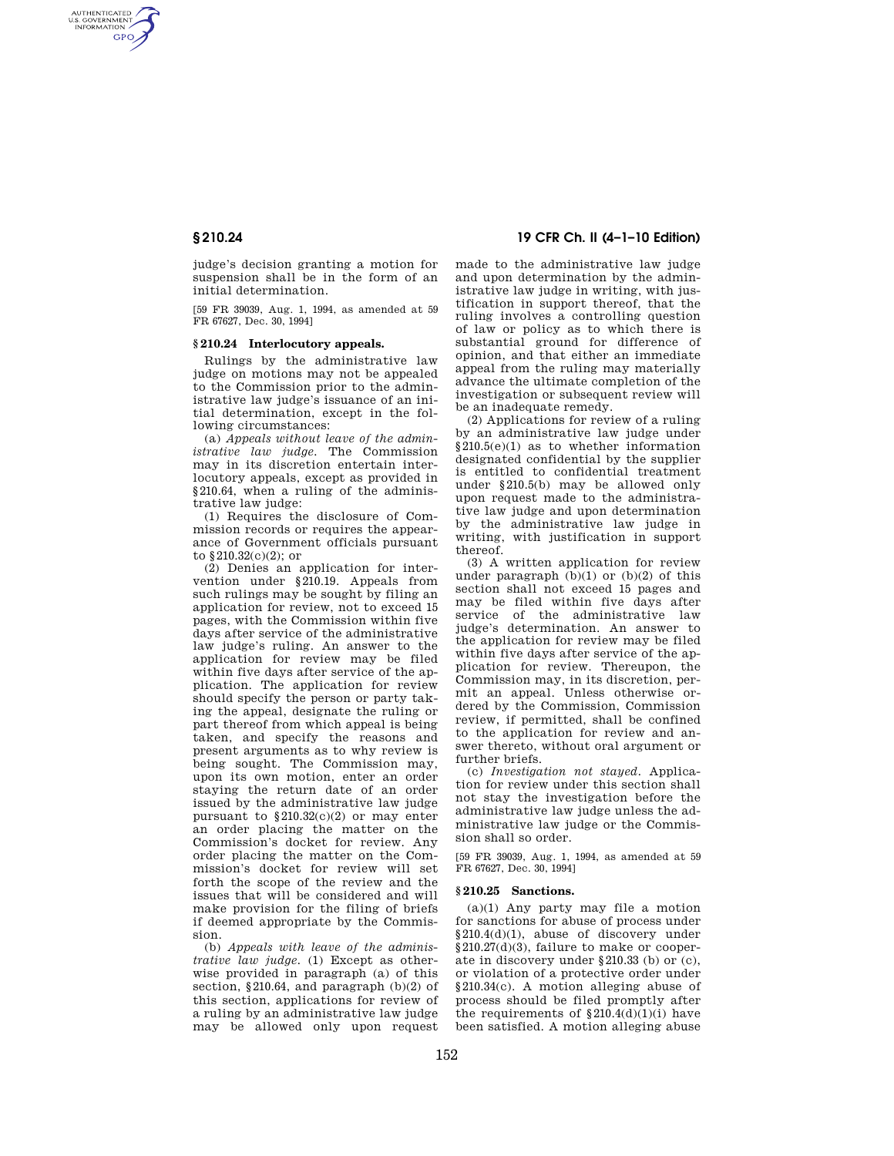AUTHENTICATED<br>U.S. GOVERNMENT<br>INFORMATION **GPO** 

> judge's decision granting a motion for suspension shall be in the form of an initial determination.

> [59 FR 39039, Aug. 1, 1994, as amended at 59 FR 67627, Dec. 30, 1994]

## **§ 210.24 Interlocutory appeals.**

Rulings by the administrative law judge on motions may not be appealed to the Commission prior to the administrative law judge's issuance of an initial determination, except in the following circumstances:

(a) *Appeals without leave of the administrative law judge.* The Commission may in its discretion entertain interlocutory appeals, except as provided in §210.64, when a ruling of the administrative law judge:

(1) Requires the disclosure of Commission records or requires the appearance of Government officials pursuant to §210.32(c)(2); or

(2) Denies an application for intervention under §210.19. Appeals from such rulings may be sought by filing an application for review, not to exceed 15 pages, with the Commission within five days after service of the administrative law judge's ruling. An answer to the application for review may be filed within five days after service of the application. The application for review should specify the person or party taking the appeal, designate the ruling or part thereof from which appeal is being taken, and specify the reasons and present arguments as to why review is being sought. The Commission may, upon its own motion, enter an order staying the return date of an order issued by the administrative law judge pursuant to  $$210.32(c)(2)$  or may enter an order placing the matter on the Commission's docket for review. Any order placing the matter on the Commission's docket for review will set forth the scope of the review and the issues that will be considered and will make provision for the filing of briefs if deemed appropriate by the Commission.

(b) *Appeals with leave of the administrative law judge.* (1) Except as otherwise provided in paragraph (a) of this section, §210.64, and paragraph (b)(2) of this section, applications for review of a ruling by an administrative law judge may be allowed only upon request

# **§ 210.24 19 CFR Ch. II (4–1–10 Edition)**

made to the administrative law judge and upon determination by the administrative law judge in writing, with justification in support thereof, that the ruling involves a controlling question of law or policy as to which there is substantial ground for difference of opinion, and that either an immediate appeal from the ruling may materially advance the ultimate completion of the investigation or subsequent review will be an inadequate remedy.

(2) Applications for review of a ruling by an administrative law judge under §210.5(e)(1) as to whether information designated confidential by the supplier is entitled to confidential treatment under §210.5(b) may be allowed only upon request made to the administrative law judge and upon determination by the administrative law judge in writing, with justification in support thereof.

(3) A written application for review under paragraph  $(b)(1)$  or  $(b)(2)$  of this section shall not exceed 15 pages and may be filed within five days after service of the administrative law judge's determination. An answer to the application for review may be filed within five days after service of the application for review. Thereupon, the Commission may, in its discretion, permit an appeal. Unless otherwise ordered by the Commission, Commission review, if permitted, shall be confined to the application for review and answer thereto, without oral argument or further briefs.

(c) *Investigation not stayed.* Application for review under this section shall not stay the investigation before the administrative law judge unless the administrative law judge or the Commission shall so order.

[59 FR 39039, Aug. 1, 1994, as amended at 59 FR 67627, Dec. 30, 1994]

### **§ 210.25 Sanctions.**

(a)(1) Any party may file a motion for sanctions for abuse of process under §210.4(d)(1), abuse of discovery under §210.27(d)(3), failure to make or cooperate in discovery under §210.33 (b) or (c), or violation of a protective order under §210.34(c). A motion alleging abuse of process should be filed promptly after the requirements of  $$210.4(d)(1)(i)$  have been satisfied. A motion alleging abuse